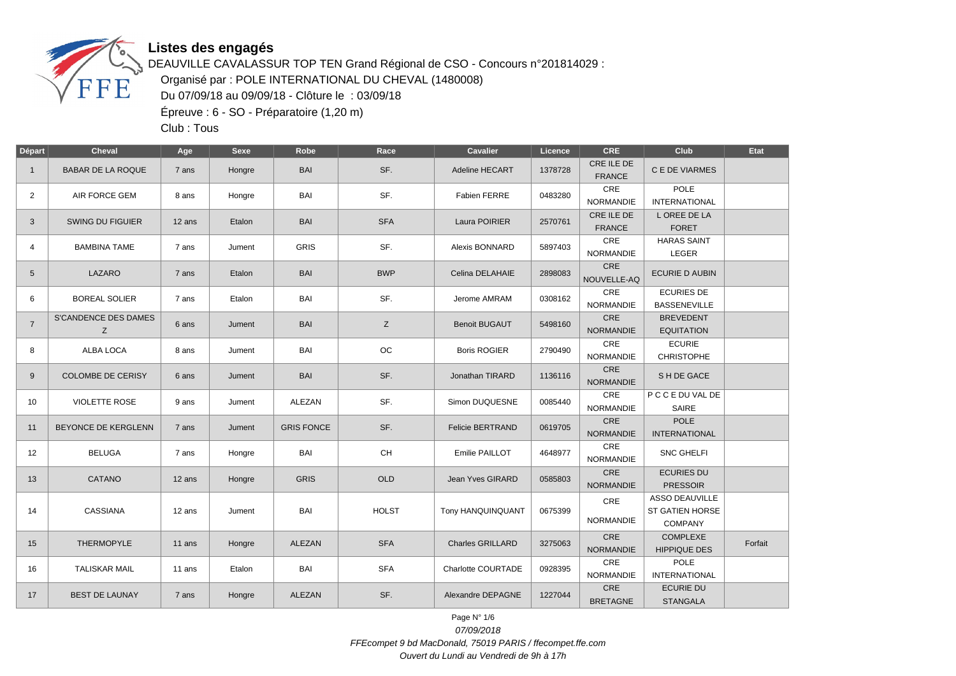

DEAUVILLE CAVALASSUR TOP TEN Grand Régional de CSO - Concours n°201814029 : Organisé par : POLE INTERNATIONAL DU CHEVAL (1480008) Du 07/09/18 au 09/09/18 - Clôture le : 03/09/18 Épreuve : 6 - SO - Préparatoire (1,20 m)

Club : Tous

| <b>Départ</b>   | <b>Cheval</b>            | Age                | <b>Sexe</b> | Robe              | Race         | <b>Cavalier</b>         | Licence | <b>CRE</b>                  | Club                         | Etat    |
|-----------------|--------------------------|--------------------|-------------|-------------------|--------------|-------------------------|---------|-----------------------------|------------------------------|---------|
| $\overline{1}$  | <b>BABAR DE LA ROQUE</b> | 7 ans              | Hongre      | <b>BAI</b>        | SF.          | <b>Adeline HECART</b>   | 1378728 | CRE ILE DE<br><b>FRANCE</b> | C E DE VIARMES               |         |
| $\overline{2}$  | AIR FORCE GEM            | 8 ans              | Hongre      | <b>BAI</b>        | SF.          | Fabien FERRE            | 0483280 | CRE                         | <b>POLE</b>                  |         |
|                 |                          |                    |             |                   |              |                         |         | NORMANDIE                   | <b>INTERNATIONAL</b>         |         |
| 3               | <b>SWING DU FIGUIER</b>  | 12 ans             | Etalon      | <b>BAI</b>        | <b>SFA</b>   | Laura POIRIER           | 2570761 | CRE ILE DE                  | L OREE DE LA                 |         |
|                 |                          |                    |             |                   |              |                         |         | <b>FRANCE</b>               | <b>FORET</b>                 |         |
| $\overline{4}$  | <b>BAMBINA TAME</b>      | 7 ans              | Jument      | <b>GRIS</b>       | SF.          | Alexis BONNARD          | 5897403 | CRE                         | <b>HARAS SAINT</b>           |         |
|                 |                          |                    |             |                   |              |                         |         | <b>NORMANDIE</b><br>CRE     | LEGER                        |         |
| $5\phantom{.0}$ | LAZARO                   | 7 ans              | Etalon      | <b>BAI</b>        | <b>BWP</b>   | Celina DELAHAIE         | 2898083 | NOUVELLE-AQ                 | <b>ECURIE D AUBIN</b>        |         |
| 6               | <b>BOREAL SOLIER</b>     | 7 ans              | Etalon      | <b>BAI</b>        | SF.          | Jerome AMRAM            | 0308162 | CRE                         | <b>ECURIES DE</b>            |         |
|                 |                          |                    |             |                   |              |                         |         | <b>NORMANDIE</b>            | <b>BASSENEVILLE</b>          |         |
| $\overline{7}$  | S'CANDENCE DES DAMES     | 6 ans              | Jument      | <b>BAI</b>        | Z            | <b>Benoit BUGAUT</b>    | 5498160 | CRE                         | <b>BREVEDENT</b>             |         |
|                 | Z                        |                    |             |                   |              |                         |         | <b>NORMANDIE</b>            | <b>EQUITATION</b>            |         |
| 8               | ALBA LOCA                | 8 ans              | Jument      | <b>BAI</b>        | ОC           | <b>Boris ROGIER</b>     | 2790490 | CRE                         | <b>ECURIE</b>                |         |
|                 |                          |                    |             |                   |              |                         |         | <b>NORMANDIE</b><br>CRE     | <b>CHRISTOPHE</b>            |         |
| 9               | <b>COLOMBE DE CERISY</b> | 6 ans              | Jument      | <b>BAI</b>        | SF.          | Jonathan TIRARD         | 1136116 | <b>NORMANDIE</b>            | S H DE GACE                  |         |
|                 |                          |                    |             |                   |              |                         |         | CRE                         | P C C E DU VAL DE            |         |
| 10              | <b>VIOLETTE ROSE</b>     | 9 ans              | Jument      | ALEZAN            | SF.          | Simon DUQUESNE          | 0085440 | <b>NORMANDIE</b>            | <b>SAIRE</b>                 |         |
|                 |                          |                    |             |                   |              |                         |         | <b>CRE</b>                  | <b>POLE</b>                  |         |
| 11              | BEYONCE DE KERGLENN      | 7 ans              | Jument      | <b>GRIS FONCE</b> | SF.          | <b>Felicie BERTRAND</b> | 0619705 | <b>NORMANDIE</b>            | <b>INTERNATIONAL</b>         |         |
|                 |                          |                    |             |                   |              |                         |         | CRE                         |                              |         |
| 12              | <b>BELUGA</b>            | 7 ans              | Hongre      | BAI               | <b>CH</b>    | Emilie PAILLOT          | 4648977 | <b>NORMANDIE</b>            | <b>SNC GHELFI</b>            |         |
| 13              | CATANO                   | 12 ans             | Hongre      | <b>GRIS</b>       | OLD          | Jean Yves GIRARD        | 0585803 | CRE                         | <b>ECURIES DU</b>            |         |
|                 |                          |                    |             |                   |              |                         |         | <b>NORMANDIE</b>            | <b>PRESSOIR</b>              |         |
|                 |                          | CASSIANA<br>12 ans |             |                   |              |                         |         | CRE                         | <b>ASSO DEAUVILLE</b>        |         |
| 14              |                          |                    | Jument      | BAI               | <b>HOLST</b> | Tony HANQUINQUANT       | 0675399 | <b>NORMANDIE</b>            | <b>ST GATIEN HORSE</b>       |         |
|                 |                          |                    |             |                   |              |                         |         |                             | <b>COMPANY</b>               |         |
| 15              | <b>THERMOPYLE</b>        | 11 ans             | Hongre      | <b>ALEZAN</b>     | <b>SFA</b>   | <b>Charles GRILLARD</b> | 3275063 | <b>CRE</b>                  | <b>COMPLEXE</b>              | Forfait |
|                 |                          |                    |             |                   |              |                         |         | <b>NORMANDIE</b>            | <b>HIPPIQUE DES</b>          |         |
| 16              | <b>TALISKAR MAIL</b>     | 11 ans             | Etalon      | <b>BAI</b>        | <b>SFA</b>   | Charlotte COURTADE      | 0928395 | CRE<br><b>NORMANDIE</b>     | POLE<br><b>INTERNATIONAL</b> |         |
|                 |                          |                    |             |                   |              |                         |         | CRE                         | <b>ECURIE DU</b>             |         |
| 17              | <b>BEST DE LAUNAY</b>    | 7 ans              | Hongre      | <b>ALEZAN</b>     | SF.          | Alexandre DEPAGNE       | 1227044 | <b>BRETAGNE</b>             | <b>STANGALA</b>              |         |

Page N° 1/6 07/09/2018 FFEcompet 9 bd MacDonald, 75019 PARIS / ffecompet.ffe.com Ouvert du Lundi au Vendredi de 9h à 17h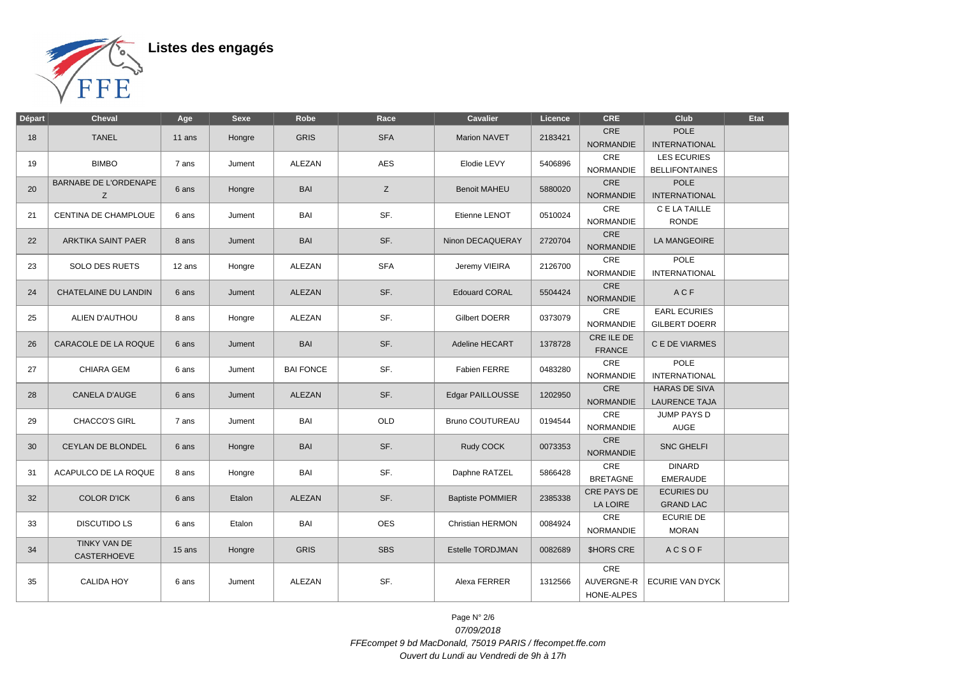

| Départ | Cheval                            | Age    | Sexe   | Robe             | Race       | <b>Cavalier</b>         | Licence | <b>CRE</b>                      | Club                                         | Etat |
|--------|-----------------------------------|--------|--------|------------------|------------|-------------------------|---------|---------------------------------|----------------------------------------------|------|
| 18     | <b>TANEL</b>                      | 11 ans | Hongre | <b>GRIS</b>      | <b>SFA</b> | <b>Marion NAVET</b>     | 2183421 | CRE<br><b>NORMANDIE</b>         | <b>POLE</b><br><b>INTERNATIONAL</b>          |      |
| 19     | <b>BIMBO</b>                      | 7 ans  | Jument | ALEZAN           | <b>AES</b> | Elodie LEVY             | 5406896 | CRE<br><b>NORMANDIE</b>         | <b>LES ECURIES</b><br><b>BELLIFONTAINES</b>  |      |
| 20     | <b>BARNABE DE L'ORDENAPE</b><br>Z | 6 ans  | Hongre | <b>BAI</b>       | Z          | <b>Benoit MAHEU</b>     | 5880020 | CRE<br><b>NORMANDIE</b>         | <b>POLE</b><br><b>INTERNATIONAL</b>          |      |
| 21     | <b>CENTINA DE CHAMPLOUE</b>       | 6 ans  | Jument | <b>BAI</b>       | SF.        | Etienne LENOT           | 0510024 | CRE<br><b>NORMANDIE</b>         | C E LA TAILLE<br><b>RONDE</b>                |      |
| 22     | ARKTIKA SAINT PAER                | 8 ans  | Jument | <b>BAI</b>       | SF.        | Ninon DECAQUERAY        | 2720704 | CRE<br><b>NORMANDIE</b>         | <b>LA MANGEOIRE</b>                          |      |
| 23     | <b>SOLO DES RUETS</b>             | 12 ans | Hongre | <b>ALEZAN</b>    | <b>SFA</b> | Jeremy VIEIRA           | 2126700 | CRE<br><b>NORMANDIE</b>         | <b>POLE</b><br><b>INTERNATIONAL</b>          |      |
| 24     | CHATELAINE DU LANDIN              | 6 ans  | Jument | ALEZAN           | SF.        | <b>Edouard CORAL</b>    | 5504424 | CRE<br><b>NORMANDIE</b>         | ACF                                          |      |
| 25     | ALIEN D'AUTHOU                    | 8 ans  | Hongre | ALEZAN           | SF.        | <b>Gilbert DOERR</b>    | 0373079 | CRE<br><b>NORMANDIE</b>         | <b>EARL ECURIES</b><br>GILBERT DOERR         |      |
| 26     | CARACOLE DE LA ROQUE              | 6 ans  | Jument | <b>BAI</b>       | SF.        | Adeline HECART          | 1378728 | CRE ILE DE<br><b>FRANCE</b>     | C E DE VIARMES                               |      |
| 27     | CHIARA GEM                        | 6 ans  | Jument | <b>BAI FONCE</b> | SF.        | Fabien FERRE            | 0483280 | CRE<br><b>NORMANDIE</b>         | <b>POLE</b><br><b>INTERNATIONAL</b>          |      |
| 28     | <b>CANELA D'AUGE</b>              | 6 ans  | Jument | ALEZAN           | SF.        | Edgar PAILLOUSSE        | 1202950 | CRE<br><b>NORMANDIE</b>         | <b>HARAS DE SIVA</b><br><b>LAURENCE TAJA</b> |      |
| 29     | <b>CHACCO'S GIRL</b>              | 7 ans  | Jument | BAI              | OLD        | <b>Bruno COUTUREAU</b>  | 0194544 | CRE<br><b>NORMANDIE</b>         | JUMP PAYS D<br><b>AUGE</b>                   |      |
| 30     | CEYLAN DE BLONDEL                 | 6 ans  | Hongre | <b>BAI</b>       | SF.        | Rudy COCK               | 0073353 | CRE<br><b>NORMANDIE</b>         | <b>SNC GHELFI</b>                            |      |
| 31     | ACAPULCO DE LA ROQUE              | 8 ans  | Hongre | BAI              | SF.        | Daphne RATZEL           | 5866428 | CRE<br><b>BRETAGNE</b>          | <b>DINARD</b><br><b>EMERAUDE</b>             |      |
| 32     | <b>COLOR D'ICK</b>                | 6 ans  | Etalon | <b>ALEZAN</b>    | SF.        | <b>Baptiste POMMIER</b> | 2385338 | CRE PAYS DE<br>LA LOIRE         | <b>ECURIES DU</b><br><b>GRAND LAC</b>        |      |
| 33     | <b>DISCUTIDO LS</b>               | 6 ans  | Etalon | BAI              | <b>OES</b> | Christian HERMON        | 0084924 | CRE<br><b>NORMANDIE</b>         | <b>ECURIE DE</b><br><b>MORAN</b>             |      |
| 34     | TINKY VAN DE<br>CASTERHOEVE       | 15 ans | Hongre | <b>GRIS</b>      | <b>SBS</b> | <b>Estelle TORDJMAN</b> | 0082689 | <b>SHORS CRE</b>                | <b>ACSOF</b>                                 |      |
| 35     | <b>CALIDA HOY</b>                 | 6 ans  | Jument | ALEZAN           | SF.        | Alexa FERRER            | 1312566 | CRE<br>AUVERGNE-R<br>HONE-ALPES | <b>ECURIE VAN DYCK</b>                       |      |

Page N° 2/6 07/09/2018 FFEcompet 9 bd MacDonald, 75019 PARIS / ffecompet.ffe.com Ouvert du Lundi au Vendredi de 9h à 17h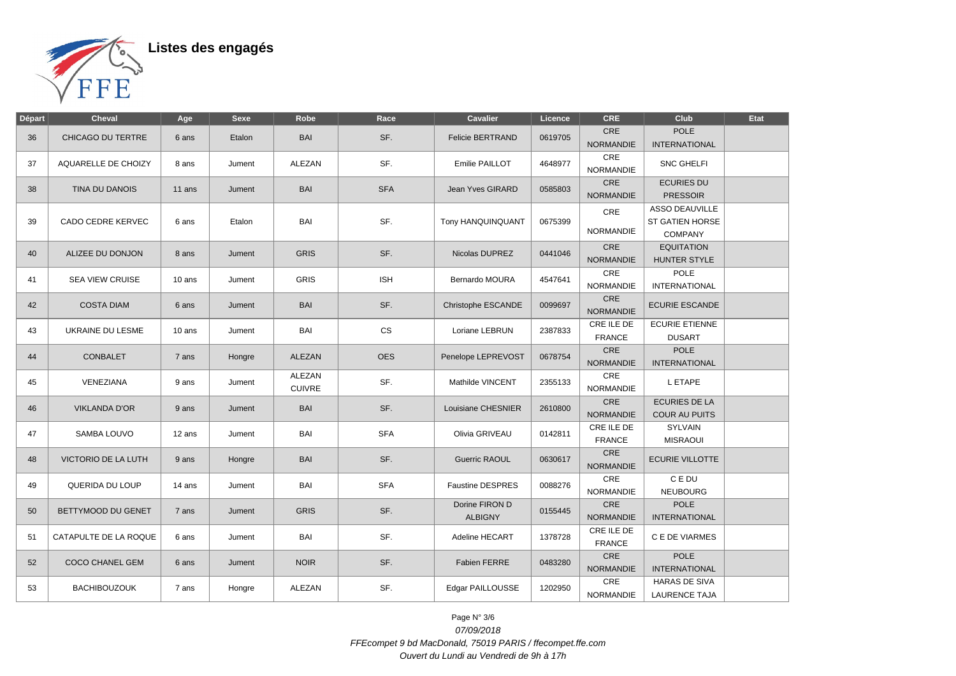

| Départ | Cheval                 | Age      | <b>Sexe</b>           | Robe          | Race       | Cavalier                | Licence | <b>CRE</b>       | Club                   | Etat |  |           |                      |  |
|--------|------------------------|----------|-----------------------|---------------|------------|-------------------------|---------|------------------|------------------------|------|--|-----------|----------------------|--|
|        |                        |          |                       | BAI           | SF.        | <b>Felicie BERTRAND</b> | 0619705 | <b>CRE</b>       | <b>POLE</b>            |      |  |           |                      |  |
| 36     | CHICAGO DU TERTRE      | 6 ans    | Etalon                |               |            |                         |         | <b>NORMANDIE</b> | <b>INTERNATIONAL</b>   |      |  |           |                      |  |
| 37     | AQUARELLE DE CHOIZY    | 8 ans    | Jument                | ALEZAN        | SF.        | Emilie PAILLOT          | 4648977 | $\mathsf{CRE}$   | <b>SNC GHELFI</b>      |      |  |           |                      |  |
|        |                        |          |                       |               |            |                         |         | <b>NORMANDIE</b> |                        |      |  |           |                      |  |
| 38     | TINA DU DANOIS         | 11 ans   | Jument                | <b>BAI</b>    | <b>SFA</b> | Jean Yves GIRARD        | 0585803 | CRE              | <b>ECURIES DU</b>      |      |  |           |                      |  |
|        |                        |          |                       |               |            |                         |         | <b>NORMANDIE</b> | <b>PRESSOIR</b>        |      |  |           |                      |  |
|        |                        |          |                       |               |            |                         |         | CRE              | <b>ASSO DEAUVILLE</b>  |      |  |           |                      |  |
| 39     | CADO CEDRE KERVEC      | 6 ans    | Etalon                | BAI           | SF.        | Tony HANQUINQUANT       | 0675399 |                  | <b>ST GATIEN HORSE</b> |      |  |           |                      |  |
|        |                        |          |                       |               |            |                         |         | NORMANDIE        | <b>COMPANY</b>         |      |  |           |                      |  |
| 40     | ALIZEE DU DONJON       | 8 ans    | Jument                | <b>GRIS</b>   | SF.        | Nicolas DUPREZ          | 0441046 | CRE              | <b>EQUITATION</b>      |      |  |           |                      |  |
|        |                        |          |                       |               |            |                         |         | <b>NORMANDIE</b> | HUNTER STYLE           |      |  |           |                      |  |
| 41     | <b>SEA VIEW CRUISE</b> | 10 ans   | Jument                | <b>GRIS</b>   | <b>ISH</b> | Bernardo MOURA          | 4547641 | CRE              | POLE                   |      |  |           |                      |  |
|        |                        |          |                       |               |            |                         |         | <b>NORMANDIE</b> | <b>INTERNATIONAL</b>   |      |  |           |                      |  |
| 42     | <b>COSTA DIAM</b>      | 6 ans    | Jument                | <b>BAI</b>    | SF.        | Christophe ESCANDE      | 0099697 | CRE              | <b>ECURIE ESCANDE</b>  |      |  |           |                      |  |
|        |                        |          |                       |               |            |                         |         | <b>NORMANDIE</b> |                        |      |  |           |                      |  |
| 43     | UKRAINE DU LESME       | $10$ ans | Jument                | BAI           | <b>CS</b>  | Loriane LEBRUN          | 2387833 | CRE ILE DE       | <b>ECURIE ETIENNE</b>  |      |  |           |                      |  |
|        |                        |          |                       |               |            |                         |         | <b>FRANCE</b>    | <b>DUSART</b>          |      |  |           |                      |  |
| 44     | <b>CONBALET</b>        | 7 ans    | Hongre                | <b>ALEZAN</b> | <b>OES</b> | Penelope LEPREVOST      | 0678754 | CRE              | <b>POLE</b>            |      |  |           |                      |  |
|        |                        |          |                       |               |            |                         |         | <b>NORMANDIE</b> | <b>INTERNATIONAL</b>   |      |  |           |                      |  |
| 45     | VENEZIANA              | 9 ans    | Jument                | ALEZAN        | SF.        | Mathilde VINCENT        | 2355133 | CRE              | L ETAPE                |      |  |           |                      |  |
|        |                        |          |                       | <b>CUIVRE</b> |            |                         |         | <b>NORMANDIE</b> |                        |      |  |           |                      |  |
| 46     | <b>VIKLANDA D'OR</b>   | 9 ans    | Jument                | <b>BAI</b>    | SF.        | Louisiane CHESNIER      | 2610800 | $\mathsf{CRE}$   | <b>ECURIES DE LA</b>   |      |  |           |                      |  |
|        |                        |          |                       |               |            |                         |         | NORMANDIE        | <b>COUR AU PUITS</b>   |      |  |           |                      |  |
| 47     | SAMBA LOUVO            | 12 ans   | Jument                | BAI           | <b>SFA</b> | Olivia GRIVEAU          | 0142811 | CRE ILE DE       | SYLVAIN                |      |  |           |                      |  |
|        |                        |          |                       |               |            |                         |         | <b>FRANCE</b>    | <b>MISRAOUI</b>        |      |  |           |                      |  |
| 48     | VICTORIO DE LA LUTH    | 9 ans    | Hongre                | <b>BAI</b>    | SF.        | <b>Guerric RAOUL</b>    | 0630617 | CRE              | <b>ECURIE VILLOTTE</b> |      |  |           |                      |  |
|        |                        |          |                       |               |            |                         |         | <b>NORMANDIE</b> |                        |      |  |           |                      |  |
| 49     | QUERIDA DU LOUP        | 14 ans   | Jument                | BAI           | <b>SFA</b> | <b>Faustine DESPRES</b> | 0088276 | CRE              | C E DU                 |      |  |           |                      |  |
|        |                        |          |                       |               |            |                         |         | NORMANDIE        | <b>NEUBOURG</b>        |      |  |           |                      |  |
| 50     | BETTYMOOD DU GENET     | 7 ans    | Jument                | <b>GRIS</b>   | SF.        | Dorine FIRON D          | 0155445 | CRE              | <b>POLE</b>            |      |  |           |                      |  |
|        |                        |          |                       |               |            | <b>ALBIGNY</b>          |         | <b>NORMANDIE</b> | <b>INTERNATIONAL</b>   |      |  |           |                      |  |
| 51     | CATAPULTE DE LA ROQUE  | 6 ans    | Jument                | BAI           | SF.        | Adeline HECART          | 1378728 | CRE ILE DE       | C E DE VIARMES         |      |  |           |                      |  |
|        |                        |          |                       |               |            |                         |         | <b>FRANCE</b>    |                        |      |  |           |                      |  |
| 52     | COCO CHANEL GEM        | 6 ans    | <b>NOIR</b><br>Jument |               | SF.        | Fabien FERRE            | 0483280 | CRE              | <b>POLE</b>            |      |  |           |                      |  |
|        |                        |          |                       |               |            |                         |         | <b>NORMANDIE</b> | <b>INTERNATIONAL</b>   |      |  |           |                      |  |
| 53     | <b>BACHIBOUZOUK</b>    | 7 ans    | Hongre                | ALEZAN        | SF.        | Edgar PAILLOUSSE        | 1202950 | CRE              | <b>HARAS DE SIVA</b>   |      |  |           |                      |  |
|        |                        |          |                       |               |            |                         |         |                  |                        |      |  | NORMANDIE | <b>LAURENCE TAJA</b> |  |

Page N° 3/6 07/09/2018 FFEcompet 9 bd MacDonald, 75019 PARIS / ffecompet.ffe.com Ouvert du Lundi au Vendredi de 9h à 17h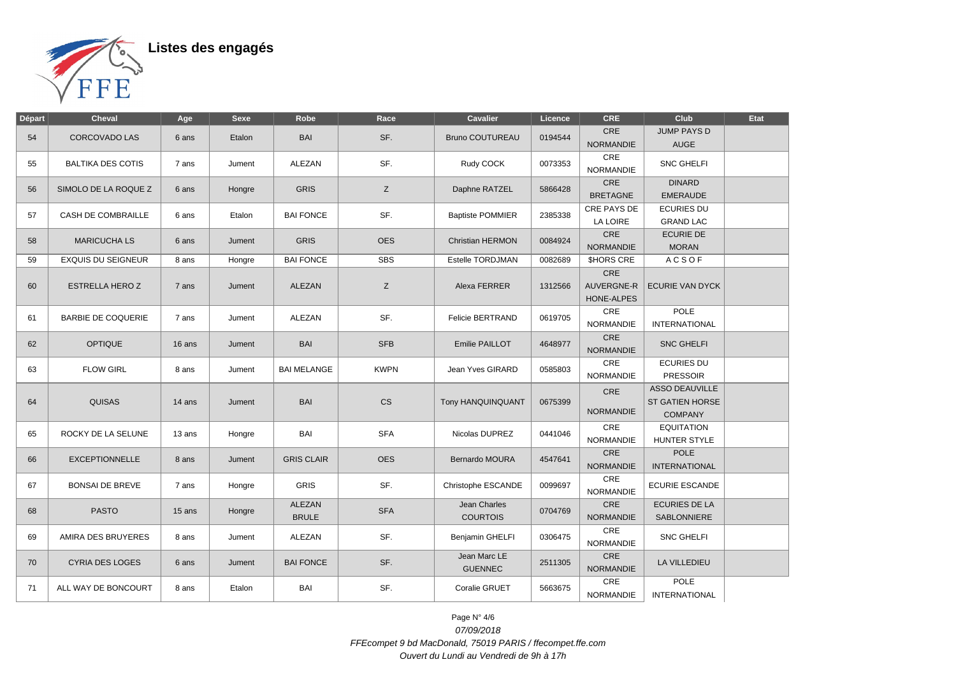

| Départ | <b>Cheval</b>             | Age    | <b>Sexe</b> | Robe                          | Race        | <b>Cavalier</b>                 | Licence | <b>CRE</b>                             | Club                                                       | Etat |
|--------|---------------------------|--------|-------------|-------------------------------|-------------|---------------------------------|---------|----------------------------------------|------------------------------------------------------------|------|
| 54     | <b>CORCOVADO LAS</b>      | 6 ans  | Etalon      | <b>BAI</b>                    | SF.         | <b>Bruno COUTUREAU</b>          | 0194544 | <b>CRE</b><br><b>NORMANDIE</b>         | <b>JUMP PAYS D</b><br><b>AUGE</b>                          |      |
| 55     | <b>BALTIKA DES COTIS</b>  | 7 ans  | Jument      | ALEZAN                        | SF.         | Rudy COCK                       | 0073353 | CRE<br><b>NORMANDIE</b>                | <b>SNC GHELFI</b>                                          |      |
| 56     | SIMOLO DE LA ROQUE Z      | 6 ans  | Hongre      | <b>GRIS</b>                   | Z           | Daphne RATZEL                   | 5866428 | CRE<br><b>BRETAGNE</b>                 | <b>DINARD</b><br><b>EMERAUDE</b>                           |      |
|        |                           |        |             |                               |             |                                 |         | CRE PAYS DE                            | <b>ECURIES DU</b>                                          |      |
| 57     | <b>CASH DE COMBRAILLE</b> | 6 ans  | Etalon      | <b>BAI FONCE</b>              | SF.         | <b>Baptiste POMMIER</b>         | 2385338 | <b>LA LOIRE</b>                        | <b>GRAND LAC</b>                                           |      |
| 58     | <b>MARICUCHA LS</b>       | 6 ans  | Jument      | <b>GRIS</b>                   | <b>OES</b>  | <b>Christian HERMON</b>         | 0084924 | <b>CRE</b><br><b>NORMANDIE</b>         | <b>ECURIE DE</b><br><b>MORAN</b>                           |      |
| 59     | <b>EXQUIS DU SEIGNEUR</b> | 8 ans  | Hongre      | <b>BAI FONCE</b>              | <b>SBS</b>  | Estelle TORDJMAN                | 0082689 | <b>SHORS CRE</b>                       | <b>ACSOF</b>                                               |      |
| 60     | <b>ESTRELLA HERO Z</b>    | 7 ans  | Jument      | <b>ALEZAN</b>                 | Z           | Alexa FERRER                    | 1312566 | CRE<br>AUVERGNE-R<br><b>HONE-ALPES</b> | <b>ECURIE VAN DYCK</b>                                     |      |
| 61     | <b>BARBIE DE COQUERIE</b> | 7 ans  | Jument      | <b>ALEZAN</b>                 | SF.         | Felicie BERTRAND                | 0619705 | CRE<br><b>NORMANDIE</b>                | <b>POLE</b><br><b>INTERNATIONAL</b>                        |      |
| 62     | <b>OPTIQUE</b>            | 16 ans | Jument      | BAI                           | <b>SFB</b>  | Emilie PAILLOT                  | 4648977 | CRE<br><b>NORMANDIE</b>                | <b>SNC GHELFI</b>                                          |      |
| 63     | <b>FLOW GIRL</b>          | 8 ans  | Jument      | <b>BAI MELANGE</b>            | <b>KWPN</b> | Jean Yves GIRARD                | 0585803 | CRE<br><b>NORMANDIE</b>                | <b>ECURIES DU</b><br><b>PRESSOIR</b>                       |      |
| 64     | <b>QUISAS</b>             | 14 ans | Jument      | <b>BAI</b>                    | <b>CS</b>   | Tony HANQUINQUANT               | 0675399 | CRE<br><b>NORMANDIE</b>                | ASSO DEAUVILLE<br><b>ST GATIEN HORSE</b><br><b>COMPANY</b> |      |
| 65     | ROCKY DE LA SELUNE        | 13 ans | Hongre      | BAI                           | <b>SFA</b>  | Nicolas DUPREZ                  | 0441046 | <b>CRE</b><br><b>NORMANDIE</b>         | <b>EQUITATION</b><br>HUNTER STYLE                          |      |
| 66     | <b>EXCEPTIONNELLE</b>     | 8 ans  | Jument      | <b>GRIS CLAIR</b>             | <b>OES</b>  | Bernardo MOURA                  | 4547641 | CRE<br><b>NORMANDIE</b>                | <b>POLE</b><br><b>INTERNATIONAL</b>                        |      |
| 67     | <b>BONSAI DE BREVE</b>    | 7 ans  | Hongre      | <b>GRIS</b>                   | SF.         | Christophe ESCANDE              | 0099697 | CRE<br><b>NORMANDIE</b>                | ECURIE ESCANDE                                             |      |
| 68     | <b>PASTO</b>              | 15 ans | Hongre      | <b>ALEZAN</b><br><b>BRULE</b> | <b>SFA</b>  | Jean Charles<br><b>COURTOIS</b> | 0704769 | CRE<br><b>NORMANDIE</b>                | <b>ECURIES DE LA</b><br>SABLONNIERE                        |      |
| 69     | AMIRA DES BRUYERES        | 8 ans  | Jument      | ALEZAN                        | SF.         | <b>Benjamin GHELFI</b>          | 0306475 | <b>CRE</b><br><b>NORMANDIE</b>         | <b>SNC GHELFI</b>                                          |      |
| 70     | <b>CYRIA DES LOGES</b>    | 6 ans  | Jument      | <b>BAI FONCE</b>              | SF.         | Jean Marc LE<br><b>GUENNEC</b>  | 2511305 | <b>CRE</b><br><b>NORMANDIE</b>         | LA VILLEDIEU                                               |      |
| 71     | ALL WAY DE BONCOURT       | 8 ans  | Etalon      | BAI                           | SF.         | Coralie GRUET                   | 5663675 | CRE<br><b>NORMANDIE</b>                | <b>POLE</b><br><b>INTERNATIONAL</b>                        |      |

Page N° 4/6 07/09/2018 FFEcompet 9 bd MacDonald, 75019 PARIS / ffecompet.ffe.com Ouvert du Lundi au Vendredi de 9h à 17h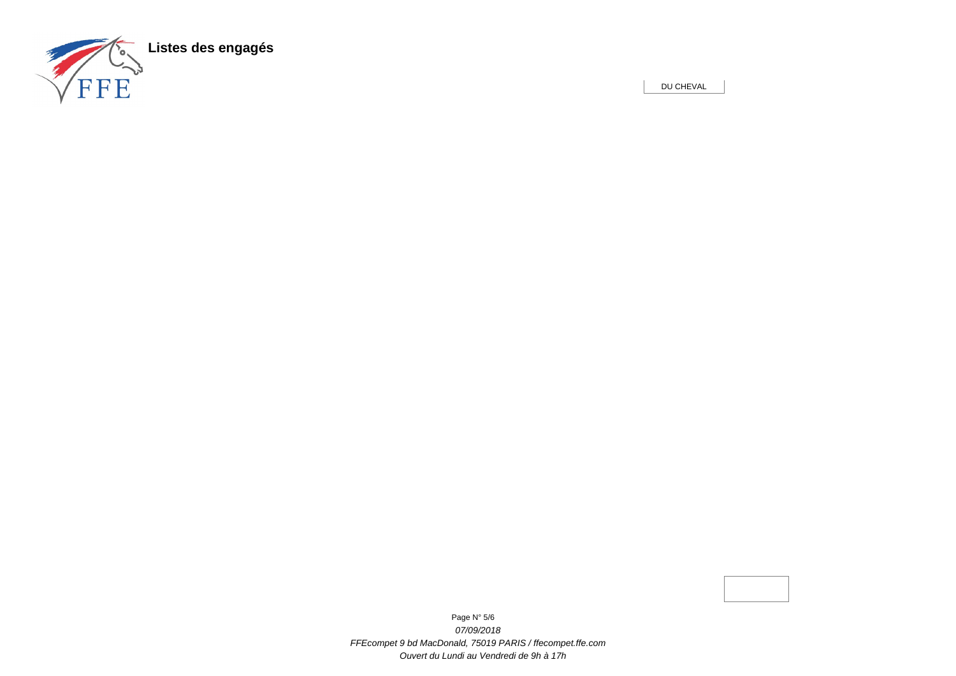

DU CHEVAL

Page N° 5/6 07/09/2018 FFEcompet 9 bd MacDonald, 75019 PARIS / ffecompet.ffe.com Ouvert du Lundi au Vendredi de 9h à 17h